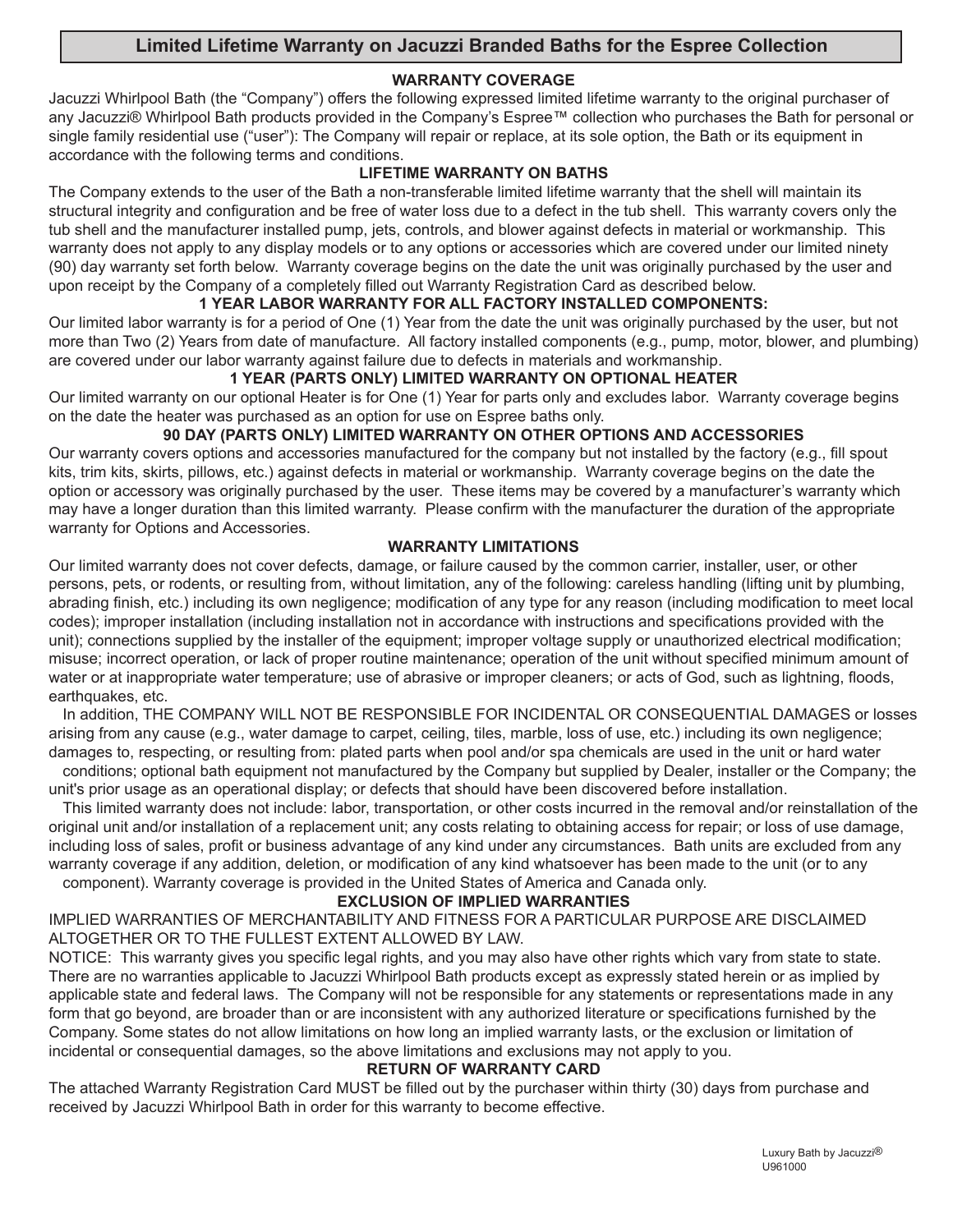# **Limited Lifetime Warranty on Jacuzzi Branded Baths for the Espree Collection**

# **WARRANTY COVERAGE**

**English** Jacuzzi Whirlpool Bath (the "Company") offers the following expressed limited lifetime warranty to the original purchaser of any Jacuzzi® Whirlpool Bath products provided in the Company's Espree™ collection who purchases the Bath for personal or single family residential use ("user"): The Company will repair or replace, at its sole option, the Bath or its equipment in accordance with the following terms and conditions.

#### **LIFETIME WARRANTY ON BATHS**

The Company extends to the user of the Bath a non-transferable limited lifetime warranty that the shell will maintain its structural integrity and configuration and be free of water loss due to a defect in the tub shell. This warranty covers only the tub shell and the manufacturer installed pump, jets, controls, and blower against defects in material or workmanship. This warranty does not apply to any display models or to any options or accessories which are covered under our limited ninety (90) day warranty set forth below. Warranty coverage begins on the date the unit was originally purchased by the user and upon receipt by the Company of a completely filled out Warranty Registration Card as described below.

### **1 YEAR LABOR WARRANTY FOR ALL FACTORY INSTALLED COMPONENTS:**

Our limited labor warranty is for a period of One (1) Year from the date the unit was originally purchased by the user, but not more than Two (2) Years from date of manufacture. All factory installed components (e.g., pump, motor, blower, and plumbing) are covered under our labor warranty against failure due to defects in materials and workmanship.

### **1 YEAR (PARTS ONLY) LIMITED WARRANTY ON OPTIONAL HEATER**

Our limited warranty on our optional Heater is for One (1) Year for parts only and excludes labor. Warranty coverage begins on the date the heater was purchased as an option for use on Espree baths only.

### **90 DAY (PARTS ONLY) LIMITED WARRANTY ON OTHER OPTIONS AND ACCESSORIES**

Our warranty covers options and accessories manufactured for the company but not installed by the factory (e.g., fill spout kits, trim kits, skirts, pillows, etc.) against defects in material or workmanship. Warranty coverage begins on the date the option or accessory was originally purchased by the user. These items may be covered by a manufacturer's warranty which may have a longer duration than this limited warranty. Please confirm with the manufacturer the duration of the appropriate warranty for Options and Accessories.

#### **WARRANTY LIMITATIONS**

Our limited warranty does not cover defects, damage, or failure caused by the common carrier, installer, user, or other persons, pets, or rodents, or resulting from, without limitation, any of the following: careless handling (lifting unit by plumbing, abrading finish, etc.) including its own negligence; modification of any type for any reason (including modification to meet local codes); improper installation (including installation not in accordance with instructions and specifications provided with the unit); connections supplied by the installer of the equipment; improper voltage supply or unauthorized electrical modification; misuse; incorrect operation, or lack of proper routine maintenance; operation of the unit without specified minimum amount of water or at inappropriate water temperature; use of abrasive or improper cleaners; or acts of God, such as lightning, floods, earthquakes, etc.

In addition, THE COMPANY WILL NOT BE RESPONSIBLE FOR INCIDENTAL OR CONSEQUENTIAL DAMAGES or losses arising from any cause (e.g., water damage to carpet, ceiling, tiles, marble, loss of use, etc.) including its own negligence; damages to, respecting, or resulting from: plated parts when pool and/or spa chemicals are used in the unit or hard water

conditions; optional bath equipment not manufactured by the Company but supplied by Dealer, installer or the Company; the unit's prior usage as an operational display; or defects that should have been discovered before installation.

This limited warranty does not include: labor, transportation, or other costs incurred in the removal and/or reinstallation of the original unit and/or installation of a replacement unit; any costs relating to obtaining access for repair; or loss of use damage, including loss of sales, profit or business advantage of any kind under any circumstances. Bath units are excluded from any warranty coverage if any addition, deletion, or modification of any kind whatsoever has been made to the unit (or to any component). Warranty coverage is provided in the United States of America and Canada only.

#### **EXCLUSION OF IMPLIED WARRANTIES**

IMPLIED WARRANTIES OF MERCHANTABILITY AND FITNESS FOR A PARTICULAR PURPOSE ARE DISCLAIMED ALTOGETHER OR TO THE FULLEST EXTENT ALLOWED BY LAW.

NOTICE: This warranty gives you specific legal rights, and you may also have other rights which vary from state to state. There are no warranties applicable to Jacuzzi Whirlpool Bath products except as expressly stated herein or as implied by applicable state and federal laws. The Company will not be responsible for any statements or representations made in any form that go beyond, are broader than or are inconsistent with any authorized literature or specifications furnished by the Company. Some states do not allow limitations on how long an implied warranty lasts, or the exclusion or limitation of incidental or consequential damages, so the above limitations and exclusions may not apply to you.

#### **RETURN OF WARRANTY CARD**

The attached Warranty Registration Card MUST be filled out by the purchaser within thirty (30) days from purchase and received by Jacuzzi Whirlpool Bath in order for this warranty to become effective.